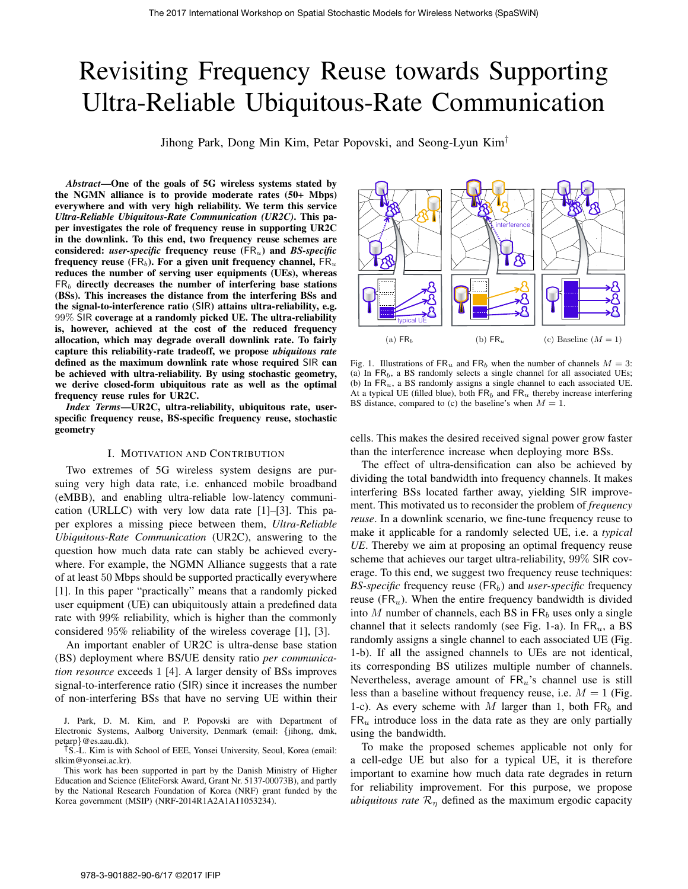# Revisiting Frequency Reuse towards Supporting Ultra-Reliable Ubiquitous-Rate Communication

Jihong Park, Dong Min Kim, Petar Popovski, and Seong-Lyun Kim†

*Abstract*—One of the goals of 5G wireless systems stated by the NGMN alliance is to provide moderate rates (50+ Mbps) everywhere and with very high reliability. We term this service *Ultra-Reliable Ubiquitous-Rate Communication (UR2C)*. This paper investigates the role of frequency reuse in supporting UR2C in the downlink. To this end, two frequency reuse schemes are considered: *user-specific* frequency reuse (FR<sub>u</sub>) and *BS-specific* frequency reuse (FR<sub>b</sub>). For a given unit frequency channel, FR<sub>u</sub> reduces the number of serving user equipments (UEs), whereas  $FR_b$  directly decreases the number of interfering base stations (BSs). This increases the distance from the interfering BSs and the signal-to-interference ratio (SIR) attains ultra-reliability, e.g. 99% SIR coverage at a randomly picked UE. The ultra-reliability is, however, achieved at the cost of the reduced frequency allocation, which may degrade overall downlink rate. To fairly capture this reliability-rate tradeoff, we propose *ubiquitous rate* defined as the maximum downlink rate whose required SIR can be achieved with ultra-reliability. By using stochastic geometry, we derive closed-form ubiquitous rate as well as the optimal frequency reuse rules for UR2C.

*Index Terms*—UR2C, ultra-reliability, ubiquitous rate, userspecific frequency reuse, BS-specific frequency reuse, stochastic geometry

# I. MOTIVATION AND CONTRIBUTION

Two extremes of 5G wireless system designs are pursuing very high data rate, i.e. enhanced mobile broadband (eMBB), and enabling ultra-reliable low-latency communication (URLLC) with very low data rate [1]–[3]. This paper explores a missing piece between them, *Ultra-Reliable Ubiquitous-Rate Communication* (UR2C), answering to the question how much data rate can stably be achieved everywhere. For example, the NGMN Alliance suggests that a rate of at least 50 Mbps should be supported practically everywhere [1]. In this paper "practically" means that a randomly picked user equipment (UE) can ubiquitously attain a predefined data rate with 99% reliability, which is higher than the commonly considered 95% reliability of the wireless coverage [1], [3].

An important enabler of UR2C is ultra-dense base station (BS) deployment where BS/UE density ratio *per communication resource* exceeds 1 [4]. A larger density of BSs improves signal-to-interference ratio (SIR) since it increases the number of non-interfering BSs that have no serving UE within their

†S.-L. Kim is with School of EEE, Yonsei University, Seoul, Korea (email: slkim@yonsei.ac.kr).



Fig. 1. Illustrations of  $\textsf{FR}_u$  and  $\textsf{FR}_b$  when the number of channels  $M = 3$ : (a) In  $FR<sub>b</sub>$ , a BS randomly selects a single channel for all associated UEs; (b) In  $FR_u$ , a BS randomly assigns a single channel to each associated UE. At a typical UE (filled blue), both  $FR_b$  and  $FR_u$  thereby increase interfering BS distance, compared to (c) the baseline's when  $M = 1$ .

cells. This makes the desired received signal power grow faster than the interference increase when deploying more BSs.

The effect of ultra-densification can also be achieved by dividing the total bandwidth into frequency channels. It makes interfering BSs located farther away, yielding SIR improvement. This motivated us to reconsider the problem of *frequency reuse*. In a downlink scenario, we fine-tune frequency reuse to make it applicable for a randomly selected UE, i.e. a *typical UE*. Thereby we aim at proposing an optimal frequency reuse scheme that achieves our target ultra-reliability, 99% SIR coverage. To this end, we suggest two frequency reuse techniques: *BS-specific* frequency reuse  $(FR_b)$  and *user-specific* frequency reuse ( $FR_u$ ). When the entire frequency bandwidth is divided into M number of channels, each BS in  $FR<sub>b</sub>$  uses only a single channel that it selects randomly (see Fig. 1-a). In  $FR_u$ , a BS randomly assigns a single channel to each associated UE (Fig. 1-b). If all the assigned channels to UEs are not identical, its corresponding BS utilizes multiple number of channels. Nevertheless, average amount of  $FR_u$ 's channel use is still less than a baseline without frequency reuse, i.e.  $M = 1$  (Fig. 1-c). As every scheme with M larger than 1, both  $FR_b$  and  $FR_u$  introduce loss in the data rate as they are only partially using the bandwidth.

To make the proposed schemes applicable not only for a cell-edge UE but also for a typical UE, it is therefore important to examine how much data rate degrades in return for reliability improvement. For this purpose, we propose *ubiquitous rate*  $\mathcal{R}_n$  defined as the maximum ergodic capacity

J. Park, D. M. Kim, and P. Popovski are with Department of Electronic Systems, Aalborg University, Denmark (email: {jihong, dmk, petarp}@es.aau.dk).

This work has been supported in part by the Danish Ministry of Higher Education and Science (EliteForsk Award, Grant Nr. 5137-00073B), and partly by the National Research Foundation of Korea (NRF) grant funded by the Korea government (MSIP) (NRF-2014R1A2A1A11053234).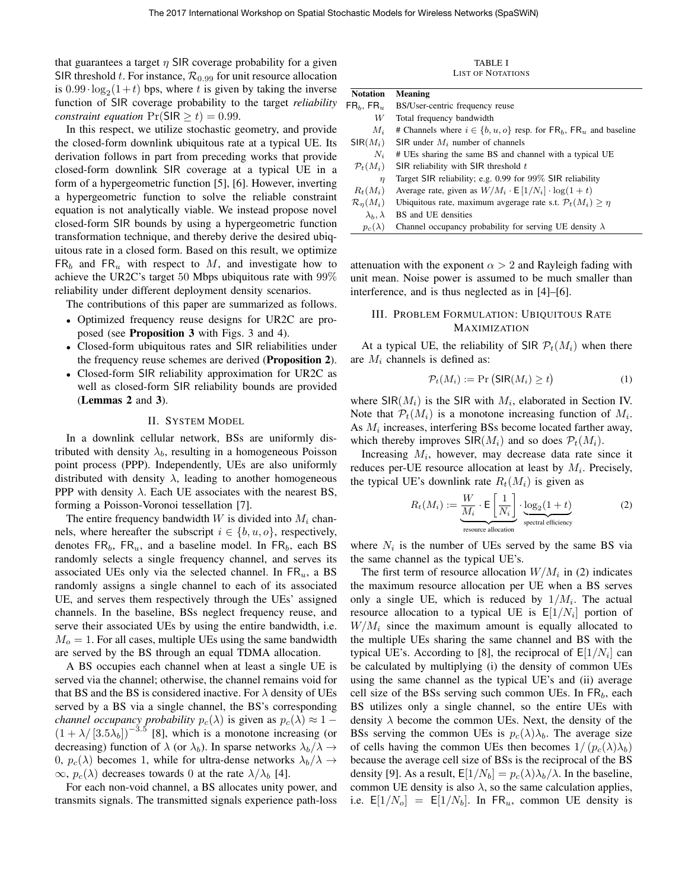that guarantees a target  $\eta$  SIR coverage probability for a given SIR threshold t. For instance,  $\mathcal{R}_{0.99}$  for unit resource allocation is  $0.99 \cdot \log_2(1+t)$  bps, where t is given by taking the inverse function of SIR coverage probability to the target *reliability constraint equation*  $Pr(SIR \ge t) = 0.99$ .

In this respect, we utilize stochastic geometry, and provide the closed-form downlink ubiquitous rate at a typical UE. Its derivation follows in part from preceding works that provide closed-form downlink SIR coverage at a typical UE in a form of a hypergeometric function [5], [6]. However, inverting a hypergeometric function to solve the reliable constraint equation is not analytically viable. We instead propose novel closed-form SIR bounds by using a hypergeometric function transformation technique, and thereby derive the desired ubiquitous rate in a closed form. Based on this result, we optimize  $FR_b$  and  $FR_u$  with respect to M, and investigate how to achieve the UR2C's target 50 Mbps ubiquitous rate with 99% reliability under different deployment density scenarios.

The contributions of this paper are summarized as follows.

- Optimized frequency reuse designs for UR2C are proposed (see Proposition 3 with Figs. 3 and 4).
- Closed-form ubiquitous rates and SIR reliabilities under the frequency reuse schemes are derived (Proposition 2).
- Closed-form SIR reliability approximation for UR2C as well as closed-form SIR reliability bounds are provided (Lemmas 2 and 3).

## II. SYSTEM MODEL

In a downlink cellular network, BSs are uniformly distributed with density  $\lambda_b$ , resulting in a homogeneous Poisson point process (PPP). Independently, UEs are also uniformly distributed with density  $\lambda$ , leading to another homogeneous PPP with density  $\lambda$ . Each UE associates with the nearest BS, forming a Poisson-Voronoi tessellation [7].

The entire frequency bandwidth W is divided into  $M_i$  channels, where hereafter the subscript  $i \in \{b, u, o\}$ , respectively, denotes  $FR_b$ ,  $FR_u$ , and a baseline model. In  $FR_b$ , each BS randomly selects a single frequency channel, and serves its associated UEs only via the selected channel. In  $FR_u$ , a BS randomly assigns a single channel to each of its associated UE, and serves them respectively through the UEs' assigned channels. In the baseline, BSs neglect frequency reuse, and serve their associated UEs by using the entire bandwidth, i.e.  $M<sub>o</sub> = 1$ . For all cases, multiple UEs using the same bandwidth are served by the BS through an equal TDMA allocation.

A BS occupies each channel when at least a single UE is served via the channel; otherwise, the channel remains void for that BS and the BS is considered inactive. For  $\lambda$  density of UEs served by a BS via a single channel, the BS's corresponding *channel occupancy probability*  $p_c(\lambda)$  is given as  $p_c(\lambda) \approx 1$  –  $(1 + \lambda / [3.5\lambda_b])^{-3.5}$  [8], which is a monotone increasing (or decreasing) function of  $\lambda$  (or  $\lambda_b$ ). In sparse networks  $\lambda_b/\lambda \rightarrow$ 0,  $p_c(\lambda)$  becomes 1, while for ultra-dense networks  $\lambda_b/\lambda \rightarrow$  $\infty$ ,  $p_c(\lambda)$  decreases towards 0 at the rate  $\lambda/\lambda_b$  [4].

For each non-void channel, a BS allocates unity power, and transmits signals. The transmitted signals experience path-loss

TABLE I LIST OF NOTATIONS

| <b>Notation</b><br><b>Meaning</b><br>$FR_h$ , $FR_u$<br>BS/User-centric frequency reuse<br>W<br>Total frequency bandwidth<br># Channels where $i \in \{b, u, o\}$ resp. for $FR_b$ , $FR_u$ and baseline<br>$M_i$<br>$SIR(M_i)$<br>SIR under $M_i$ number of channels<br># UEs sharing the same BS and channel with a typical UE<br>$N_i$<br>$\mathcal{P}_t(M_i)$<br>SIR reliability with SIR threshold $t$<br>Target SIR reliability; e.g. 0.99 for 99% SIR reliability<br>$\eta$<br>Average rate, given as $W/M_i \cdot \mathsf{E}[1/N_i] \cdot \log(1+t)$<br>$R_t(M_i)$<br>Ubiquitous rate, maximum avgerage rate s.t. $\mathcal{P}_t(M_i) > \eta$<br>$\mathcal{R}_n(M_i)$<br>$\lambda_h, \lambda$<br>BS and UE densities<br>Channel occupancy probability for serving UE density $\lambda$<br>$p_c(\lambda)$ |  |  |  |
|------------------------------------------------------------------------------------------------------------------------------------------------------------------------------------------------------------------------------------------------------------------------------------------------------------------------------------------------------------------------------------------------------------------------------------------------------------------------------------------------------------------------------------------------------------------------------------------------------------------------------------------------------------------------------------------------------------------------------------------------------------------------------------------------------------------|--|--|--|
|                                                                                                                                                                                                                                                                                                                                                                                                                                                                                                                                                                                                                                                                                                                                                                                                                  |  |  |  |
|                                                                                                                                                                                                                                                                                                                                                                                                                                                                                                                                                                                                                                                                                                                                                                                                                  |  |  |  |
|                                                                                                                                                                                                                                                                                                                                                                                                                                                                                                                                                                                                                                                                                                                                                                                                                  |  |  |  |
|                                                                                                                                                                                                                                                                                                                                                                                                                                                                                                                                                                                                                                                                                                                                                                                                                  |  |  |  |
|                                                                                                                                                                                                                                                                                                                                                                                                                                                                                                                                                                                                                                                                                                                                                                                                                  |  |  |  |
|                                                                                                                                                                                                                                                                                                                                                                                                                                                                                                                                                                                                                                                                                                                                                                                                                  |  |  |  |
|                                                                                                                                                                                                                                                                                                                                                                                                                                                                                                                                                                                                                                                                                                                                                                                                                  |  |  |  |
|                                                                                                                                                                                                                                                                                                                                                                                                                                                                                                                                                                                                                                                                                                                                                                                                                  |  |  |  |
|                                                                                                                                                                                                                                                                                                                                                                                                                                                                                                                                                                                                                                                                                                                                                                                                                  |  |  |  |
|                                                                                                                                                                                                                                                                                                                                                                                                                                                                                                                                                                                                                                                                                                                                                                                                                  |  |  |  |
|                                                                                                                                                                                                                                                                                                                                                                                                                                                                                                                                                                                                                                                                                                                                                                                                                  |  |  |  |
|                                                                                                                                                                                                                                                                                                                                                                                                                                                                                                                                                                                                                                                                                                                                                                                                                  |  |  |  |

attenuation with the exponent  $\alpha > 2$  and Rayleigh fading with unit mean. Noise power is assumed to be much smaller than interference, and is thus neglected as in [4]–[6].

# III. PROBLEM FORMULATION: UBIQUITOUS RATE MAXIMIZATION

At a typical UE, the reliability of SIR  $P_t(M_i)$  when there are  $M_i$  channels is defined as:

$$
\mathcal{P}_t(M_i) := \Pr\left(\mathsf{SIR}(M_i) \ge t\right) \tag{1}
$$

where  $\text{SIR}(M_i)$  is the SIR with  $M_i$ , elaborated in Section IV. Note that  $P_t(M_i)$  is a monotone increasing function of  $M_i$ . As  $M_i$  increases, interfering BSs become located farther away, which thereby improves  $\text{SIR}(M_i)$  and so does  $\mathcal{P}_t(M_i)$ .

Increasing  $M_i$ , however, may decrease data rate since it reduces per-UE resource allocation at least by  $M_i$ . Precisely, the typical UE's downlink rate  $R_t(M_i)$  is given as

$$
R_t(M_i) := \underbrace{\frac{W}{M_i} \cdot \mathsf{E}\left[\frac{1}{N_i}\right]}_{\text{resource allocation}} \cdot \underbrace{\log_2(1+t)}_{\text{spectral efficiency}}
$$
(2)

where  $N_i$  is the number of UEs served by the same BS via the same channel as the typical UE's.

The first term of resource allocation  $W/M_i$  in (2) indicates the maximum resource allocation per UE when a BS serves only a single UE, which is reduced by  $1/M_i$ . The actual resource allocation to a typical UE is  $E[1/N_i]$  portion of  $W/M_i$  since the maximum amount is equally allocated to the multiple UEs sharing the same channel and BS with the typical UE's. According to [8], the reciprocal of  $E[1/N_i]$  can be calculated by multiplying (i) the density of common UEs using the same channel as the typical UE's and (ii) average cell size of the BSs serving such common UEs. In  $FR<sub>b</sub>$ , each BS utilizes only a single channel, so the entire UEs with density  $\lambda$  become the common UEs. Next, the density of the BSs serving the common UEs is  $p_c(\lambda)\lambda_b$ . The average size of cells having the common UEs then becomes  $1/(p_c(\lambda)\lambda_b)$ because the average cell size of BSs is the reciprocal of the BS density [9]. As a result,  $E[1/N_b] = p_c(\lambda)\lambda_b/\lambda$ . In the baseline, common UE density is also  $\lambda$ , so the same calculation applies, i.e.  $E[1/N_o] = E[1/N_b]$ . In FR<sub>u</sub>, common UE density is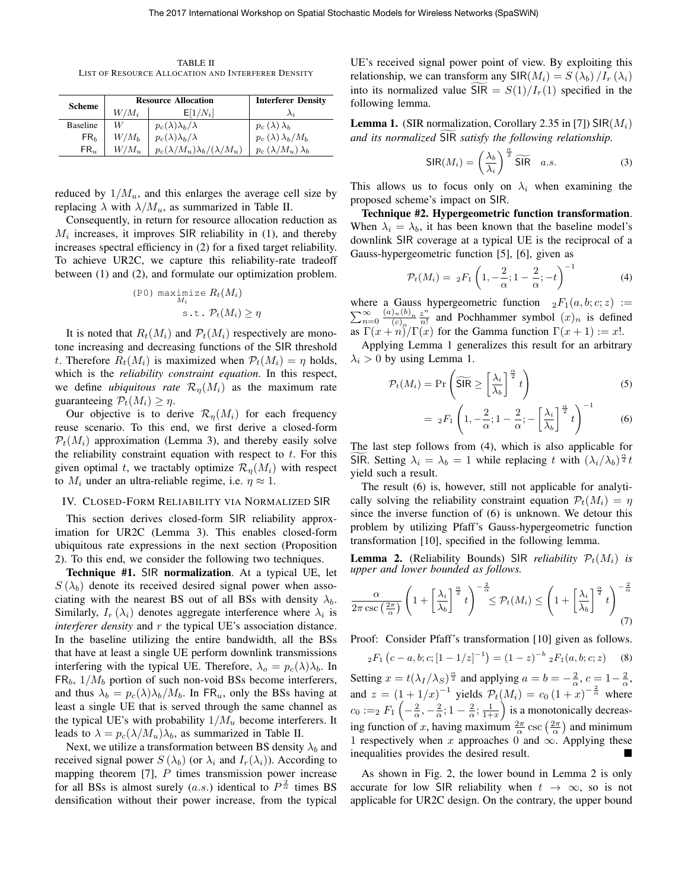TABLE II LIST OF RESOURCE ALLOCATION AND INTERFERER DENSITY

| <b>Scheme</b>   | <b>Resource Allocation</b> |                                           | <b>Interferer Density</b>                                |
|-----------------|----------------------------|-------------------------------------------|----------------------------------------------------------|
|                 | $W/M_i$                    | $E[1/N_i]$                                | $\lambda_i$                                              |
| <b>Baseline</b> | W                          | $p_c(\lambda)\lambda_b/\lambda$           |                                                          |
| FR <sub>b</sub> | $W/M_h$                    | $p_c(\lambda)\lambda_b/\lambda$           | $p_c(\lambda) \lambda_b$<br>$p_c(\lambda) \lambda_b/M_b$ |
| FR <sub>u</sub> | $W/M_{\rm u}$              | $p_c(\lambda/M_u)\lambda_b/(\lambda/M_u)$ | $p_c(\lambda/M_u)\lambda_b$                              |

reduced by  $1/M_u$ , and this enlarges the average cell size by replacing  $\lambda$  with  $\lambda/M_u$ , as summarized in Table II.

Consequently, in return for resource allocation reduction as  $M_i$  increases, it improves SIR reliability in (1), and thereby increases spectral efficiency in (2) for a fixed target reliability. To achieve UR2C, we capture this reliability-rate tradeoff between (1) and (2), and formulate our optimization problem.

$$
\begin{aligned} \text{(P0) maximize } R_t(M_i) \\ \text{s.t. } \mathcal{P}_t(M_i) \ge \eta \end{aligned}
$$

It is noted that  $R_t(M_i)$  and  $\mathcal{P}_t(M_i)$  respectively are monotone increasing and decreasing functions of the SIR threshold t. Therefore  $R_t(M_i)$  is maximized when  $\mathcal{P}_t(M_i) = \eta$  holds, which is the *reliability constraint equation*. In this respect, we define *ubiquitous rate*  $\mathcal{R}_n(M_i)$  as the maximum rate guaranteeing  $P_t(M_i) \geq \eta$ .

Our objective is to derive  $\mathcal{R}_n(M_i)$  for each frequency reuse scenario. To this end, we first derive a closed-form  $P_t(M_i)$  approximation (Lemma 3), and thereby easily solve the reliability constraint equation with respect to  $t$ . For this given optimal t, we tractably optimize  $\mathcal{R}_\eta(M_i)$  with respect to  $M_i$  under an ultra-reliable regime, i.e.  $\eta \approx 1$ .

# IV. CLOSED-FORM RELIABILITY VIA NORMALIZED SIR

This section derives closed-form SIR reliability approximation for UR2C (Lemma 3). This enables closed-form ubiquitous rate expressions in the next section (Proposition 2). To this end, we consider the following two techniques.

Technique #1. SIR normalization. At a typical UE, let  $S(\lambda_b)$  denote its received desired signal power when associating with the nearest BS out of all BSs with density  $\lambda_b$ . Similarly,  $I_r(\lambda_i)$  denotes aggregate interference where  $\lambda_i$  is *interferer density* and r the typical UE's association distance. In the baseline utilizing the entire bandwidth, all the BSs that have at least a single UE perform downlink transmissions interfering with the typical UE. Therefore,  $\lambda_o = p_c(\lambda)\lambda_b$ . In  $FR_b$ ,  $1/M_b$  portion of such non-void BSs become interferers, and thus  $\lambda_b = p_c(\lambda)\lambda_b/M_b$ . In FR<sub>u</sub>, only the BSs having at least a single UE that is served through the same channel as the typical UE's with probability  $1/M_u$  become interferers. It leads to  $\lambda = p_c(\lambda/M_u)\lambda_b$ , as summarized in Table II.

Next, we utilize a transformation between BS density  $\lambda_b$  and received signal power  $S(\lambda_b)$  (or  $\lambda_i$  and  $I_r(\lambda_i)$ ). According to mapping theorem  $[7]$ ,  $P$  times transmission power increase for all BSs is almost surely (a.s.) identical to  $P^{\frac{2}{\alpha}}$  times BS densification without their power increase, from the typical

UE's received signal power point of view. By exploiting this relationship, we can transform any  $\text{SIR}(M_i) = S(\lambda_b)/I_r(\lambda_i)$ into its normalized value  $SIR = S(1)/I_r(1)$  specified in the following lemma.

**Lemma 1.** (SIR normalization, Corollary 2.35 in [7]) SIR( $M_i$ ) *and its normalized* SIRg *satisfy the following relationship.*

$$
\mathsf{SIR}(M_i) = \left(\frac{\lambda_b}{\lambda_i}\right)^{\frac{\alpha}{2}} \widetilde{\mathsf{SIR}} \quad a.s.
$$
 (3)

This allows us to focus only on  $\lambda_i$  when examining the proposed scheme's impact on SIR.

Technique #2. Hypergeometric function transformation. When  $\lambda_i = \lambda_b$ , it has been known that the baseline model's downlink SIR coverage at a typical UE is the reciprocal of a Gauss-hypergeometric function [5], [6], given as

$$
\mathcal{P}_t(M_i) = \, {}_2F_1\left(1, -\frac{2}{\alpha}; 1-\frac{2}{\alpha}; -t\right)^{-1} \tag{4}
$$

where a Gauss hypergeometric function  ${}_2F_1(a, b; c; z) :=$  $\sum_{n=0}^{\infty} \frac{(a)_n (b)_n}{(c)_n}$  $\frac{(b)_n}{(c)_n} \frac{z^n}{n!}$  $\frac{z^n}{n!}$  and Pochhammer symbol  $(x)_n$  is defined as  $\Gamma(x + n)/\Gamma(x)$  for the Gamma function  $\Gamma(x + 1) := x!$ .

Applying Lemma 1 generalizes this result for an arbitrary  $\lambda_i > 0$  by using Lemma 1.

$$
\mathcal{P}_t(M_i) = \Pr\left(\widetilde{\mathsf{SIR}} \ge \left[\frac{\lambda_i}{\lambda_b}\right]^{\frac{\alpha}{2}}t\right) \tag{5}
$$

$$
= {}_{2}F_{1}\left(1, -\frac{2}{\alpha}; 1-\frac{2}{\alpha}; -\left[\frac{\lambda_{i}}{\lambda_{b}}\right]^{\frac{\alpha}{2}}t\right)^{-1} \tag{6}
$$

The last step follows from (4), which is also applicable for SIR. Setting  $\lambda_i = \lambda_b = 1$  while replacing t with  $(\lambda_i/\lambda_b)^{\frac{\alpha}{2}}t$ yield such a result.

The result (6) is, however, still not applicable for analytically solving the reliability constraint equation  $P_t(M_i) = \eta$ since the inverse function of (6) is unknown. We detour this problem by utilizing Pfaff's Gauss-hypergeometric function transformation [10], specified in the following lemma.

**Lemma 2.** (Reliability Bounds) SIR *reliability*  $\mathcal{P}_t(M_i)$  *is upper and lower bounded as follows.*

$$
\frac{\alpha}{2\pi \csc\left(\frac{2\pi}{\alpha}\right)} \left(1 + \left[\frac{\lambda_i}{\lambda_b}\right]^{\frac{\alpha}{2}} t\right)^{-\frac{2}{\alpha}} \le \mathcal{P}_t(M_i) \le \left(1 + \left[\frac{\lambda_i}{\lambda_b}\right]^{\frac{\alpha}{2}} t\right)^{-\frac{2}{\alpha}}
$$
(7)

Proof: Consider Pfaff's transformation [10] given as follows.

$$
{}_2F_1(c-a,b;c; [1-1/z]^{-1}) = (1-z)^{-b} {}_2F_1(a,b;c;z)
$$
 (8)

Setting  $x = t(\lambda_I/\lambda_S)^{\frac{\alpha}{2}}$  and applying  $a = b = -\frac{2}{\alpha}, c = 1 - \frac{2}{\alpha}$ ,  $\alpha$ <sup>,  $\alpha$ </sup>  $\alpha$ <sup> $\alpha$ </sup> and  $z = (1 + 1/x)^{-1}$  yields  $\mathcal{P}_t(M_i) = c_0 (1 + x)^{-\frac{2}{\alpha}}$  where  $c_0 :=_2 F_1 \left(-\frac{2}{\alpha}, -\frac{2}{\alpha}; 1-\frac{2}{\alpha}; \frac{1}{1+x}\right)$  $\big)$  is a monotonically decreasing function of x, having maximum  $\frac{2\pi}{\alpha}$  csc  $\left(\frac{2\pi}{\alpha}\right)$  and minimum 1 respectively when x approaches 0 and  $\infty$ . Applying these inequalities provides the desired result.

As shown in Fig. 2, the lower bound in Lemma 2 is only accurate for low SIR reliability when  $t \to \infty$ , so is not applicable for UR2C design. On the contrary, the upper bound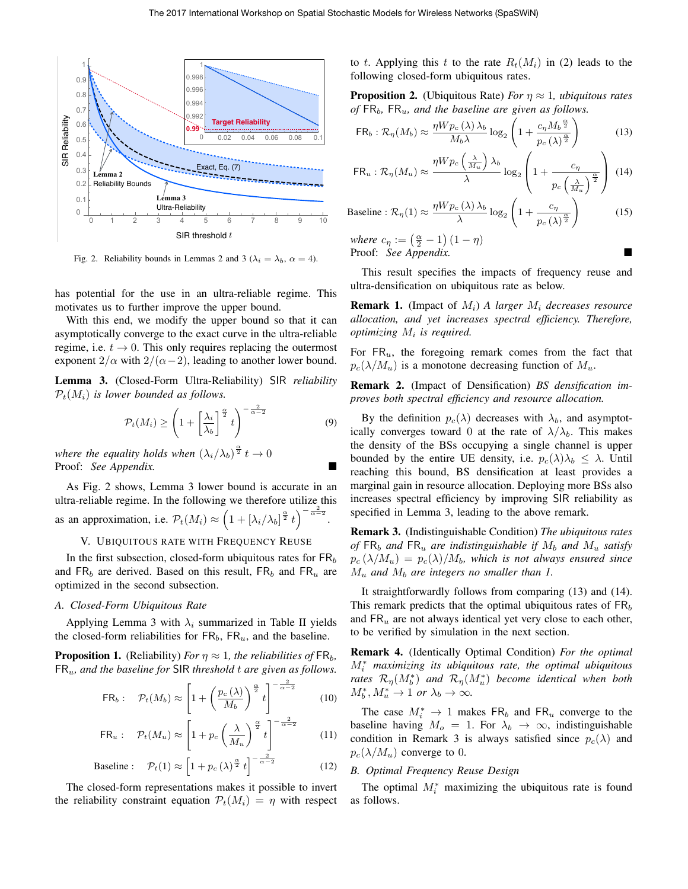

Fig. 2. Reliability bounds in Lemmas 2 and 3 ( $\lambda_i = \lambda_b$ ,  $\alpha = 4$ ).

has potential for the use in an ultra-reliable regime. This motivates us to further improve the upper bound.

With this end, we modify the upper bound so that it can asymptotically converge to the exact curve in the ultra-reliable regime, i.e.  $t \to 0$ . This only requires replacing the outermost exponent  $2/\alpha$  with  $2/(\alpha-2)$ , leading to another lower bound.

Lemma 3. (Closed-Form Ultra-Reliability) SIR *reliability*  $P_t(M_i)$  *is lower bounded as follows.* 

$$
\mathcal{P}_t(M_i) \ge \left(1 + \left[\frac{\lambda_i}{\lambda_b}\right]^{\frac{\alpha}{2}} t\right)^{-\frac{2}{\alpha - 2}}\tag{9}
$$

where the equality holds when  $(\lambda_i/\lambda_b)^{\frac{\alpha}{2}}t\to 0$ Proof: *See Appendix.*

As Fig. 2 shows, Lemma 3 lower bound is accurate in an ultra-reliable regime. In the following we therefore utilize this as an approximation, i.e.  $\mathcal{P}_t(M_i) \approx \left(1 + \left[\lambda_i/\lambda_b\right]^{\frac{\alpha}{2}} t\right)^{-\frac{2}{\alpha-2}}$ .

#### V. UBIQUITOUS RATE WITH FREQUENCY REUSE

In the first subsection, closed-form ubiquitous rates for  $FR<sub>b</sub>$ and  $FR_b$  are derived. Based on this result,  $FR_b$  and  $FR_u$  are optimized in the second subsection.

#### *A. Closed-Form Ubiquitous Rate*

Applying Lemma 3 with  $\lambda_i$  summarized in Table II yields the closed-form reliabilities for  $FR_b$ ,  $FR_u$ , and the baseline.

**Proposition 1.** (Reliability) *For*  $\eta \approx 1$ *, the reliabilities of*  $FR_b$ *,* FRu*, and the baseline for* SIR *threshold* t *are given as follows.*

$$
\mathsf{FR}_b: \quad \mathcal{P}_t(M_b) \approx \left[1 + \left(\frac{p_c(\lambda)}{M_b}\right)^{\frac{\alpha}{2}} t\right]^{-\frac{2}{\alpha - 2}} \tag{10}
$$

$$
\mathsf{FR}_u: \quad \mathcal{P}_t(M_u) \approx \left[1 + p_c \left(\frac{\lambda}{M_u}\right)^{\frac{\alpha}{2}} t\right]^{-\frac{2}{\alpha - 2}} \tag{11}
$$

$$
\text{Baseline :} \quad \mathcal{P}_t(1) \approx \left[1 + p_c\left(\lambda\right)^{\frac{\alpha}{2}} t\right]^{-\frac{2}{\alpha - 2}} \tag{12}
$$

The closed-form representations makes it possible to invert the reliability constraint equation  $P_t(M_i) = \eta$  with respect to t. Applying this t to the rate  $R_t(M_i)$  in (2) leads to the following closed-form ubiquitous rates.

**Proposition 2.** (Ubiquitous Rate) *For*  $\eta \approx 1$ *, ubiquitous rates of* FRb*,* FRu*, and the baseline are given as follows.*

$$
\mathsf{FR}_b: \mathcal{R}_\eta(M_b) \approx \frac{\eta W p_c(\lambda) \lambda_b}{M_b \lambda} \log_2 \left( 1 + \frac{c_\eta M_b^{\frac{\alpha}{2}}}{p_c(\lambda)^{\frac{\alpha}{2}}} \right) \tag{13}
$$

$$
\mathsf{FR}_u : \mathcal{R}_\eta(M_u) \approx \frac{\eta W p_c \left(\frac{\lambda}{M_u}\right) \lambda_b}{\lambda} \log_2 \left(1 + \frac{c_\eta}{p_c \left(\frac{\lambda}{M_u}\right)^{\frac{\alpha}{2}}}\right) (14)
$$

$$
\text{Baseline}: \mathcal{R}_{\eta}(1) \approx \frac{\eta W p_c(\lambda) \lambda_b}{\lambda} \log_2 \left( 1 + \frac{c_{\eta}}{p_c(\lambda)^{\frac{\alpha}{2}}} \right) \tag{15}
$$

*where*  $c_{\eta} := \left(\frac{\alpha}{2} - 1\right)(1 - \eta)$ Proof: *See Appendix.*

This result specifies the impacts of frequency reuse and ultra-densification on ubiquitous rate as below.

Remark 1. (Impact of Mi) *A larger* M<sup>i</sup> *decreases resource allocation, and yet increases spectral efficiency. Therefore, optimizing* M<sup>i</sup> *is required.*

For  $FR_u$ , the foregoing remark comes from the fact that  $p_c(\lambda/M_u)$  is a monotone decreasing function of  $M_u$ .

Remark 2. (Impact of Densification) *BS densification improves both spectral efficiency and resource allocation.*

By the definition  $p_c(\lambda)$  decreases with  $\lambda_b$ , and asymptotically converges toward 0 at the rate of  $\lambda/\lambda_b$ . This makes the density of the BSs occupying a single channel is upper bounded by the entire UE density, i.e.  $p_c(\lambda)\lambda_b < \lambda$ . Until reaching this bound, BS densification at least provides a marginal gain in resource allocation. Deploying more BSs also increases spectral efficiency by improving SIR reliability as specified in Lemma 3, leading to the above remark.

Remark 3. (Indistinguishable Condition) *The ubiquitous rates of*  $FR_b$  *and*  $FR_u$  *are indistinguishable if*  $M_b$  *and*  $M_u$  *satisfy*  $p_c(\lambda/M_u) = p_c(\lambda)/M_b$ , which is not always ensured since  $M_u$  and  $M_b$  are integers no smaller than 1.

It straightforwardly follows from comparing (13) and (14). This remark predicts that the optimal ubiquitous rates of  $FR<sub>b</sub>$ and  $FR_u$  are not always identical yet very close to each other, to be verified by simulation in the next section.

Remark 4. (Identically Optimal Condition) *For the optimal* M<sup>∗</sup> <sup>i</sup> *maximizing its ubiquitous rate, the optimal ubiquitous rates*  $\mathcal{R}_{\eta}(M_{b}^{*})$  *and*  $\mathcal{R}_{\eta}(M_{u}^{*})$  *become identical when both*  $M_b^*, M_u^* \to 1$  *or*  $\lambda_b \to \infty$ *.* 

The case  $M_i^* \to 1$  makes  $FR_b$  and  $FR_u$  converge to the baseline having  $M_o = 1$ . For  $\lambda_b \rightarrow \infty$ , indistinguishable condition in Remark 3 is always satisfied since  $p_c(\lambda)$  and  $p_c(\lambda/M_u)$  converge to 0.

# *B. Optimal Frequency Reuse Design*

The optimal  $M_i^*$  maximizing the ubiquitous rate is found as follows.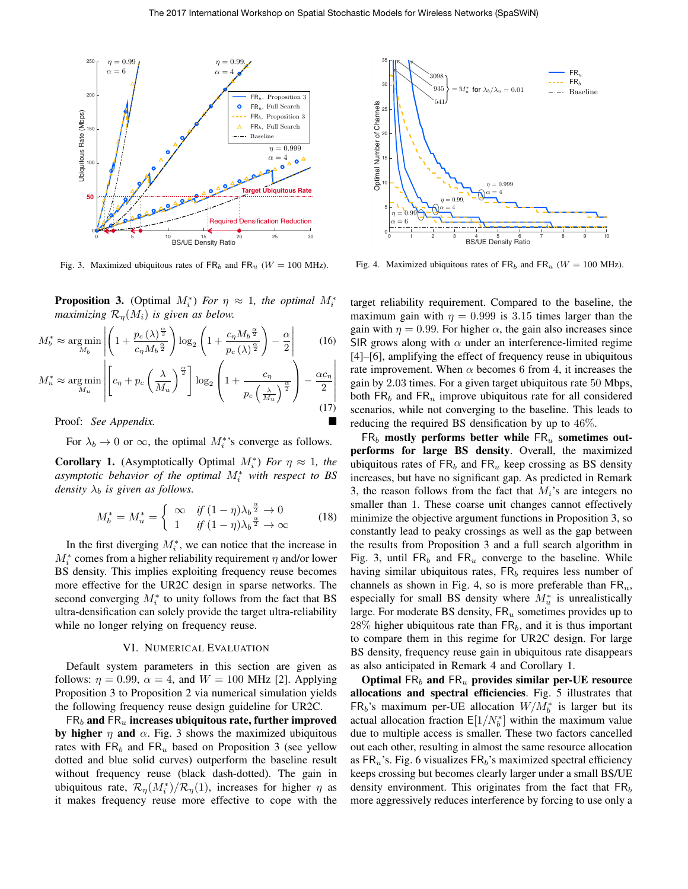

Fig. 3. Maximized ubiquitous rates of  $FR_b$  and  $FR_u$  ( $W = 100$  MHz).

**Proposition 3.** (Optimal  $M_i^*$ ) *For*  $\eta \approx 1$ *, the optimal*  $M_i^*$ *maximizing*  $\mathcal{R}_\eta(M_i)$  *is given as below.* 

$$
M_b^* \approx \underset{M_b}{\arg\min} \left| \left( 1 + \frac{p_c\left(\lambda\right)^{\frac{\alpha}{2}}}{c_\eta M_b^{\frac{\alpha}{2}}} \right) \log_2 \left( 1 + \frac{c_\eta M_b^{\frac{\alpha}{2}}}{p_c\left(\lambda\right)^{\frac{\alpha}{2}}} \right) - \frac{\alpha}{2} \right| \tag{16}
$$

$$
M_u^* \approx \underset{M_u}{\arg\min} \left| \left[ c_\eta + p_c \left( \frac{\lambda}{M_u} \right)^{\frac{\alpha}{2}} \right] \log_2 \left( 1 + \frac{c_\eta}{p_c \left( \frac{\lambda}{M_u} \right)^{\frac{\alpha}{2}}} \right) - \frac{\alpha c_\eta}{2} \right| \tag{17}
$$

Proof: *See Appendix.*

For  $\lambda_b \to 0$  or  $\infty$ , the optimal  $M_i^*$ 's converge as follows.

**Corollary 1.** (Asymptotically Optimal  $M_i^*$ ) *For*  $\eta \approx 1$ *, the asymptotic behavior of the optimal* M<sup>∗</sup> <sup>i</sup> *with respect to BS density*  $\lambda_b$  *is given as follows.* 

$$
M_b^* = M_u^* = \begin{cases} \infty & \text{if } (1 - \eta)\lambda_b^{\frac{\alpha}{2}} \to 0 \\ 1 & \text{if } (1 - \eta)\lambda_b^{\frac{\alpha}{2}} \to \infty \end{cases} \tag{18}
$$

In the first diverging  $M_i^*$ , we can notice that the increase in  $M_i^*$  comes from a higher reliability requirement  $\eta$  and/or lower BS density. This implies exploiting frequency reuse becomes more effective for the UR2C design in sparse networks. The second converging  $M_i^*$  to unity follows from the fact that BS ultra-densification can solely provide the target ultra-reliability while no longer relying on frequency reuse.

## VI. NUMERICAL EVALUATION

Default system parameters in this section are given as follows:  $\eta = 0.99$ ,  $\alpha = 4$ , and  $W = 100$  MHz [2]. Applying Proposition 3 to Proposition 2 via numerical simulation yields the following frequency reuse design guideline for UR2C.

 $FR_b$  and  $FR_u$  increases ubiquitous rate, further improved by higher  $\eta$  and  $\alpha$ . Fig. 3 shows the maximized ubiquitous rates with  $FR_b$  and  $FR_u$  based on Proposition 3 (see yellow dotted and blue solid curves) outperform the baseline result without frequency reuse (black dash-dotted). The gain in ubiquitous rate,  $\mathcal{R}_{\eta}(M_i^*)/\mathcal{R}_{\eta}(1)$ , increases for higher  $\eta$  as it makes frequency reuse more effective to cope with the



Fig. 4. Maximized ubiquitous rates of  $FR_b$  and  $FR_u$  ( $W = 100$  MHz).

target reliability requirement. Compared to the baseline, the maximum gain with  $\eta = 0.999$  is 3.15 times larger than the gain with  $\eta = 0.99$ . For higher  $\alpha$ , the gain also increases since SIR grows along with  $\alpha$  under an interference-limited regime [4]–[6], amplifying the effect of frequency reuse in ubiquitous rate improvement. When  $\alpha$  becomes 6 from 4, it increases the gain by 2.03 times. For a given target ubiquitous rate 50 Mbps, both  $FR<sub>b</sub>$  and  $FR<sub>u</sub>$  improve ubiquitous rate for all considered scenarios, while not converging to the baseline. This leads to reducing the required BS densification by up to 46%.

 $FR_b$  mostly performs better while  $FR_u$  sometimes outperforms for large BS density. Overall, the maximized ubiquitous rates of  $FR_b$  and  $FR_u$  keep crossing as BS density increases, but have no significant gap. As predicted in Remark 3, the reason follows from the fact that  $M_i$ 's are integers no smaller than 1. These coarse unit changes cannot effectively minimize the objective argument functions in Proposition 3, so constantly lead to peaky crossings as well as the gap between the results from Proposition 3 and a full search algorithm in Fig. 3, until  $FR_b$  and  $FR_u$  converge to the baseline. While having similar ubiquitous rates,  $FR_b$  requires less number of channels as shown in Fig. 4, so is more preferable than  $FR_u$ , especially for small BS density where  $M^*$  is unrealistically large. For moderate BS density,  $FR_u$  sometimes provides up to 28% higher ubiquitous rate than  $FR_b$ , and it is thus important to compare them in this regime for UR2C design. For large BS density, frequency reuse gain in ubiquitous rate disappears as also anticipated in Remark 4 and Corollary 1.

Optimal  $FR_b$  and  $FR_u$  provides similar per-UE resource allocations and spectral efficiencies. Fig. 5 illustrates that  $FR_b$ 's maximum per-UE allocation  $W/M_b^*$  is larger but its actual allocation fraction  $E[1/N_b^*]$  within the maximum value due to multiple access is smaller. These two factors cancelled out each other, resulting in almost the same resource allocation as  $FR_u$ 's. Fig. 6 visualizes  $FR_b$ 's maximized spectral efficiency keeps crossing but becomes clearly larger under a small BS/UE density environment. This originates from the fact that  $FR_b$ more aggressively reduces interference by forcing to use only a